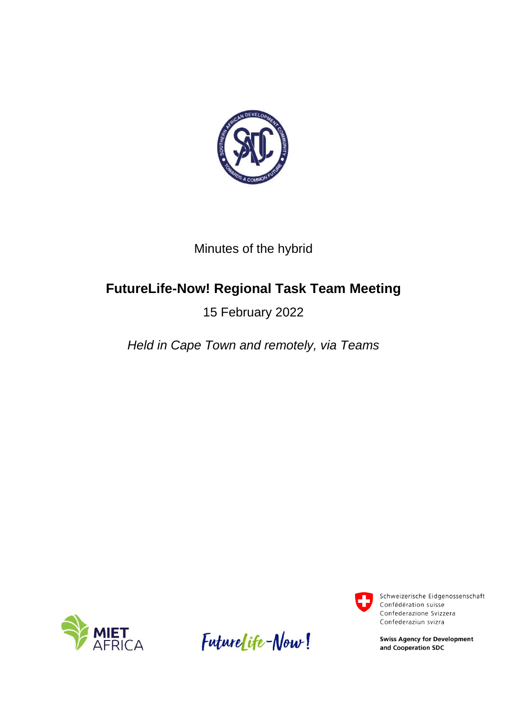

## Minutes of the hybrid

# **FutureLife-Now! Regional Task Team Meeting**

## 15 February 2022

*Held in Cape Town and remotely, via Teams*







Schweizerische Eidgenossenschaft Confédération suisse Confederazione Svizzera Confederaziun svizra

**Swiss Agency for Development** and Cooperation SDC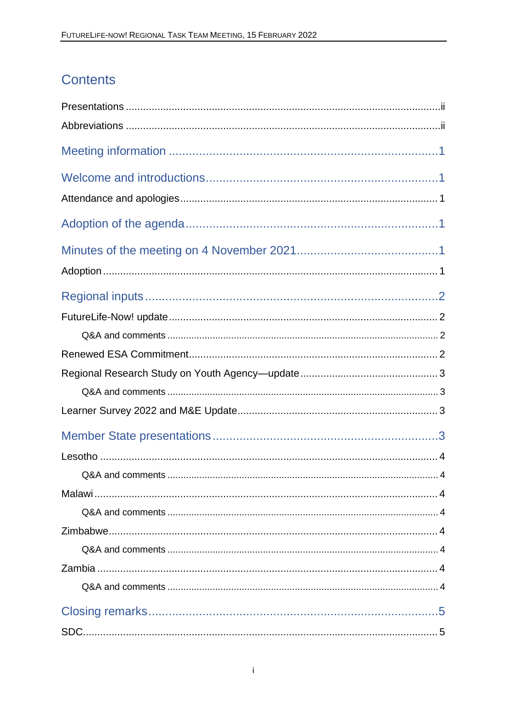# **Contents**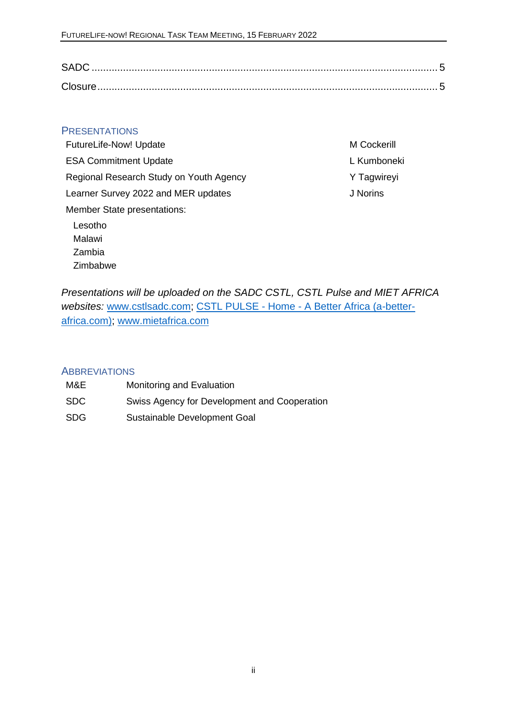#### <span id="page-2-0"></span>**PRESENTATIONS**

| <b>FutureLife-Now! Update</b>           |
|-----------------------------------------|
| <b>ESA Commitment Update</b>            |
| Regional Research Study on Youth Agency |
| Learner Survey 2022 and MER updates     |
| <b>Member State presentations:</b>      |
| Lesotho                                 |
| Malawi                                  |

M Cockerill L Kumboneki Y Tagwireyi J Norins

*Presentations will be uploaded on the SADC CSTL, CSTL Pulse and MIET AFRICA websites:* [www.cstlsadc.com;](http://www.cstlsadc.com/) CSTL PULSE - Home - [A Better Africa \(a-better](https://a-better-africa.com/show/the-cstl-pulse/wiki)[africa.com\);](https://a-better-africa.com/show/the-cstl-pulse/wiki) [www.mietafrica.com](http://www.mietafrica.com/)

#### <span id="page-2-1"></span>**ABBREVIATIONS**

Zambia Zimbabwe

| M&E        | Monitoring and Evaluation                    |
|------------|----------------------------------------------|
| SDC.       | Swiss Agency for Development and Cooperation |
| <b>SDG</b> | Sustainable Development Goal                 |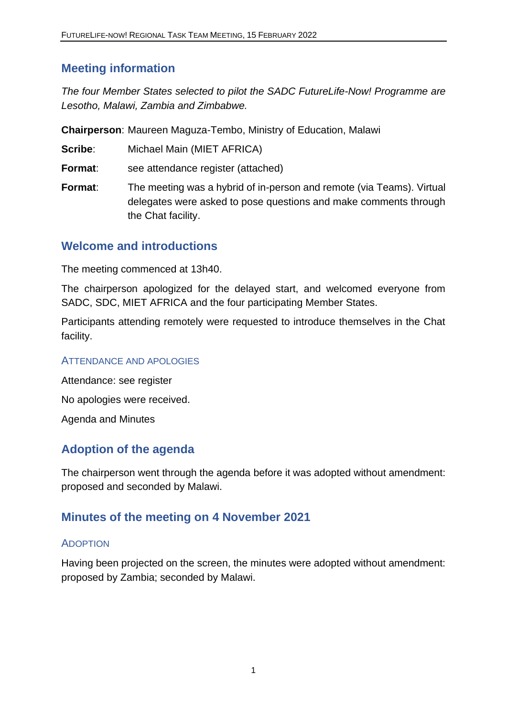## <span id="page-3-0"></span>**Meeting information**

*The four Member States selected to pilot the SADC FutureLife-Now! Programme are Lesotho, Malawi, Zambia and Zimbabwe.* 

**Chairperson**: Maureen Maguza-Tembo, Ministry of Education, Malawi

**Scribe:** Michael Main (MIET AFRICA)

- **Format**: see attendance register (attached)
- **Format**: The meeting was a hybrid of in-person and remote (via Teams). Virtual delegates were asked to pose questions and make comments through the Chat facility.

### <span id="page-3-1"></span>**Welcome and introductions**

The meeting commenced at 13h40.

The chairperson apologized for the delayed start, and welcomed everyone from SADC, SDC, MIET AFRICA and the four participating Member States.

Participants attending remotely were requested to introduce themselves in the Chat facility.

#### <span id="page-3-2"></span>ATTENDANCE AND APOLOGIES

Attendance: see register No apologies were received. Agenda and Minutes

## <span id="page-3-3"></span>**Adoption of the agenda**

The chairperson went through the agenda before it was adopted without amendment: proposed and seconded by Malawi.

## <span id="page-3-4"></span>**Minutes of the meeting on 4 November 2021**

#### <span id="page-3-5"></span>ADOPTION

Having been projected on the screen, the minutes were adopted without amendment: proposed by Zambia; seconded by Malawi.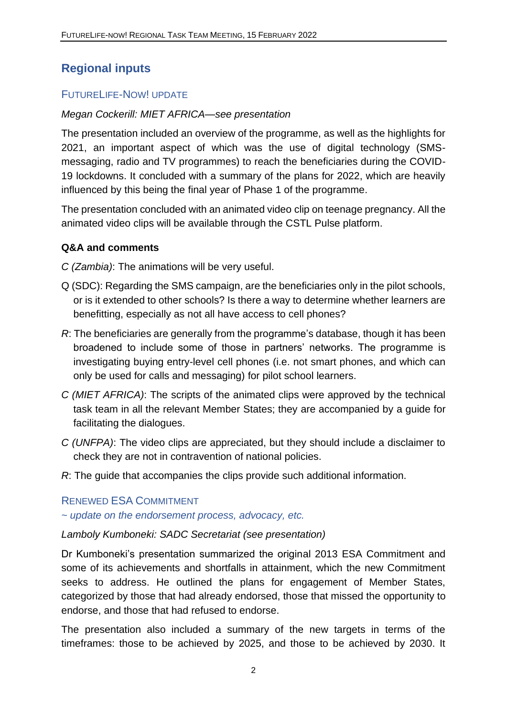## <span id="page-4-0"></span>**Regional inputs**

#### <span id="page-4-1"></span>FUTURELIFE-NOW! UPDATE

#### *Megan Cockerill: MIET AFRICA—see presentation*

The presentation included an overview of the programme, as well as the highlights for 2021, an important aspect of which was the use of digital technology (SMSmessaging, radio and TV programmes) to reach the beneficiaries during the COVID-19 lockdowns. It concluded with a summary of the plans for 2022, which are heavily influenced by this being the final year of Phase 1 of the programme.

The presentation concluded with an animated video clip on teenage pregnancy. All the animated video clips will be available through the CSTL Pulse platform.

#### <span id="page-4-2"></span>**Q&A and comments**

*C (Zambia)*: The animations will be very useful.

- Q (SDC): Regarding the SMS campaign, are the beneficiaries only in the pilot schools, or is it extended to other schools? Is there a way to determine whether learners are benefitting, especially as not all have access to cell phones?
- *R*: The beneficiaries are generally from the programme's database, though it has been broadened to include some of those in partners' networks. The programme is investigating buying entry-level cell phones (i.e. not smart phones, and which can only be used for calls and messaging) for pilot school learners.
- *C (MIET AFRICA)*: The scripts of the animated clips were approved by the technical task team in all the relevant Member States; they are accompanied by a guide for facilitating the dialogues.
- *C (UNFPA)*: The video clips are appreciated, but they should include a disclaimer to check they are not in contravention of national policies.
- *R*: The guide that accompanies the clips provide such additional information.

#### <span id="page-4-3"></span>RENEWED ESA COMMITMENT

*~ update on the endorsement process, advocacy, etc.*

#### *Lamboly Kumboneki: SADC Secretariat (see presentation)*

Dr Kumboneki's presentation summarized the original 2013 ESA Commitment and some of its achievements and shortfalls in attainment, which the new Commitment seeks to address. He outlined the plans for engagement of Member States, categorized by those that had already endorsed, those that missed the opportunity to endorse, and those that had refused to endorse.

The presentation also included a summary of the new targets in terms of the timeframes: those to be achieved by 2025, and those to be achieved by 2030. It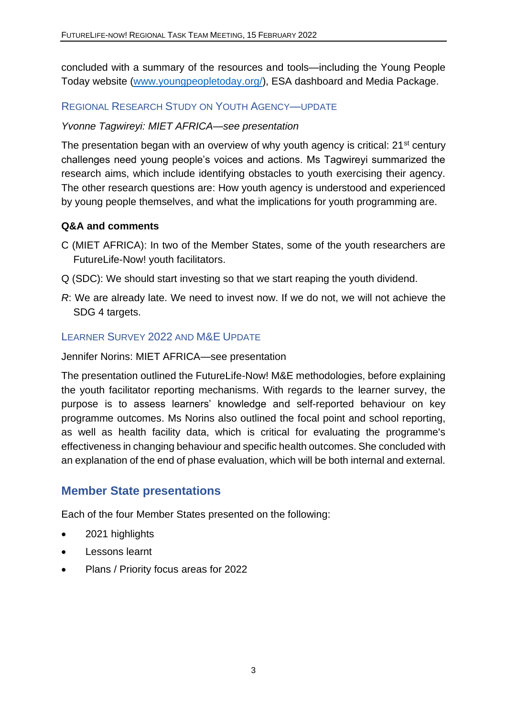concluded with a summary of the resources and tools—including the Young People Today website [\(www.youngpeopletoday.org/\)](http://www.youngpeopletoday.org/), ESA dashboard and Media Package.

#### <span id="page-5-0"></span>REGIONAL RESEARCH STUDY ON YOUTH AGENCY—UPDATE

#### *Yvonne Tagwireyi: MIET AFRICA—see presentation*

The presentation began with an overview of why youth agency is critical: 21<sup>st</sup> century challenges need young people's voices and actions. Ms Tagwireyi summarized the research aims, which include identifying obstacles to youth exercising their agency. The other research questions are: How youth agency is understood and experienced by young people themselves, and what the implications for youth programming are.

#### <span id="page-5-1"></span>**Q&A and comments**

- C (MIET AFRICA): In two of the Member States, some of the youth researchers are FutureLife-Now! youth facilitators.
- Q (SDC): We should start investing so that we start reaping the youth dividend.
- *R*: We are already late. We need to invest now. If we do not, we will not achieve the SDG 4 targets.

#### <span id="page-5-2"></span>LEARNER SURVEY 2022 AND M&E UPDATE

Jennifer Norins: MIET AFRICA—see presentation

The presentation outlined the FutureLife-Now! M&E methodologies, before explaining the youth facilitator reporting mechanisms. With regards to the learner survey, the purpose is to assess learners' knowledge and self-reported behaviour on key programme outcomes. Ms Norins also outlined the focal point and school reporting, as well as health facility data, which is critical for evaluating the programme's effectiveness in changing behaviour and specific health outcomes. She concluded with an explanation of the end of phase evaluation, which will be both internal and external.

### <span id="page-5-3"></span>**Member State presentations**

Each of the four Member States presented on the following:

- 2021 highlights
- Lessons learnt
- Plans / Priority focus areas for 2022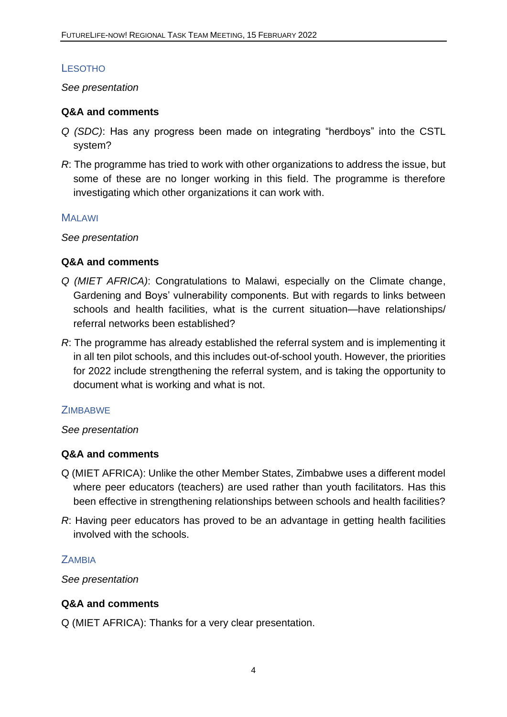### <span id="page-6-0"></span>**LESOTHO**

*See presentation*

#### <span id="page-6-1"></span>**Q&A and comments**

- *Q (SDC)*: Has any progress been made on integrating "herdboys" into the CSTL system?
- *R*: The programme has tried to work with other organizations to address the issue, but some of these are no longer working in this field. The programme is therefore investigating which other organizations it can work with.

#### <span id="page-6-2"></span>**MALAWI**

*See presentation*

#### <span id="page-6-3"></span>**Q&A and comments**

- *Q (MIET AFRICA)*: Congratulations to Malawi, especially on the Climate change, Gardening and Boys' vulnerability components. But with regards to links between schools and health facilities, what is the current situation—have relationships/ referral networks been established?
- *R*: The programme has already established the referral system and is implementing it in all ten pilot schools, and this includes out-of-school youth. However, the priorities for 2022 include strengthening the referral system, and is taking the opportunity to document what is working and what is not.

#### <span id="page-6-4"></span>**ZIMBABWE**

#### *See presentation*

#### <span id="page-6-5"></span>**Q&A and comments**

- Q (MIET AFRICA): Unlike the other Member States, Zimbabwe uses a different model where peer educators (teachers) are used rather than youth facilitators. Has this been effective in strengthening relationships between schools and health facilities?
- *R*: Having peer educators has proved to be an advantage in getting health facilities involved with the schools.

#### <span id="page-6-6"></span>**ZAMBIA**

*See presentation*

#### <span id="page-6-7"></span>**Q&A and comments**

Q (MIET AFRICA): Thanks for a very clear presentation.